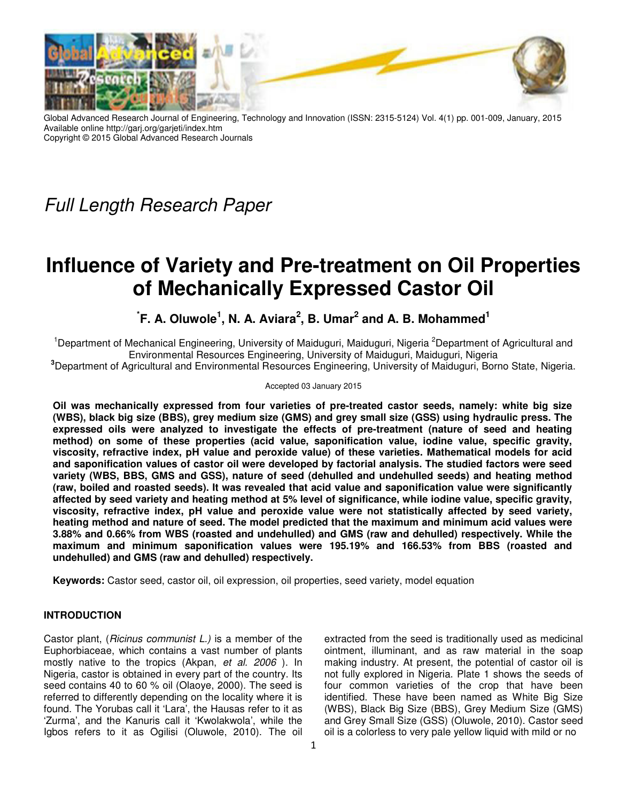

Global Advanced Research Journal of Engineering, Technology and Innovation (ISSN: 2315-5124) Vol. 4(1) pp. 001-009, January, 2015 Available online http://garj.org/garjeti/index.htm Copyright © 2015 Global Advanced Research Journals

*Full Length Research Paper*

# **Influence of Variety and Pre-treatment on Oil Properties of Mechanically Expressed Castor Oil**

## <sup>*i*</sup> F. A. Oluwole<sup>1</sup>, N. A. Aviara<sup>2</sup>, B. Umar<sup>2</sup> and A. B. Mohammed<sup>1</sup>

<sup>1</sup>Department of Mechanical Engineering, University of Maiduguri, Maiduguri, Nigeria <sup>2</sup>Department of Agricultural and Environmental Resources Engineering, University of Maiduguri, Maiduguri, Nigeria

**<sup>3</sup>**Department of Agricultural and Environmental Resources Engineering, University of Maiduguri, Borno State, Nigeria.

## Accepted 03 January 2015

**Oil was mechanically expressed from four varieties of pre-treated castor seeds, namely: white big size (WBS), black big size (BBS), grey medium size (GMS) and grey small size (GSS) using hydraulic press. The expressed oils were analyzed to investigate the effects of pre-treatment (nature of seed and heating method) on some of these properties (acid value, saponification value, iodine value, specific gravity, viscosity, refractive index, pH value and peroxide value) of these varieties. Mathematical models for acid and saponification values of castor oil were developed by factorial analysis. The studied factors were seed variety (WBS, BBS, GMS and GSS), nature of seed (dehulled and undehulled seeds) and heating method (raw, boiled and roasted seeds). It was revealed that acid value and saponification value were significantly affected by seed variety and heating method at 5% level of significance, while iodine value, specific gravity, viscosity, refractive index, pH value and peroxide value were not statistically affected by seed variety, heating method and nature of seed. The model predicted that the maximum and minimum acid values were 3.88% and 0.66% from WBS (roasted and undehulled) and GMS (raw and dehulled) respectively. While the maximum and minimum saponification values were 195.19% and 166.53% from BBS (roasted and undehulled) and GMS (raw and dehulled) respectively.** 

**Keywords:** Castor seed, castor oil, oil expression, oil properties, seed variety, model equation

## **INTRODUCTION**

Castor plant, (*Ricinus communist L.)* is a member of the Euphorbiaceae, which contains a vast number of plants mostly native to the tropics (Akpan, *et al. 2006* ). In Nigeria, castor is obtained in every part of the country. Its seed contains 40 to 60 % oil (Olaoye, 2000). The seed is referred to differently depending on the locality where it is found. The Yorubas call it 'Lara', the Hausas refer to it as 'Zurma', and the Kanuris call it 'Kwolakwola', while the Igbos refers to it as Ogilisi (Oluwole, 2010). The oil

extracted from the seed is traditionally used as medicinal ointment, illuminant, and as raw material in the soap making industry. At present, the potential of castor oil is not fully explored in Nigeria. Plate 1 shows the seeds of four common varieties of the crop that have been identified. These have been named as White Big Size (WBS), Black Big Size (BBS), Grey Medium Size (GMS) and Grey Small Size (GSS) (Oluwole, 2010). Castor seed oil is a colorless to very pale yellow liquid with mild or no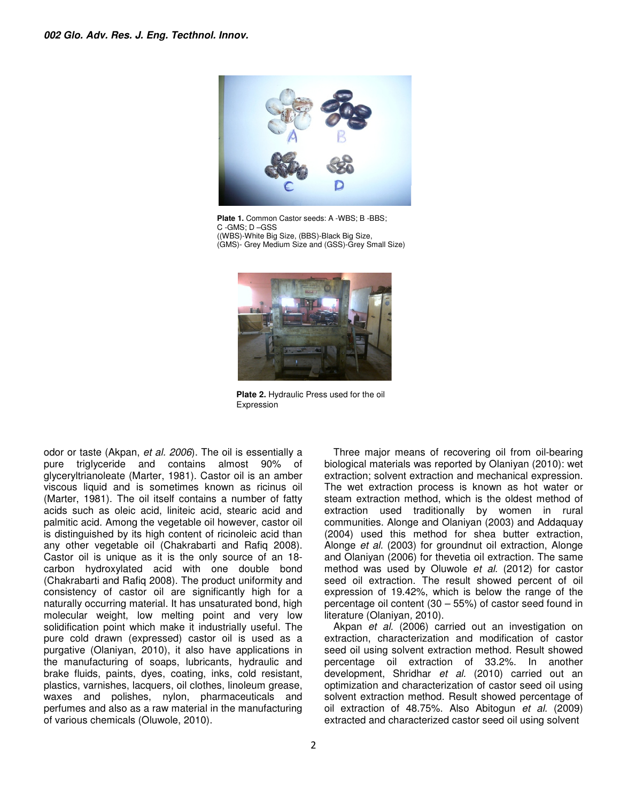

**Plate 1.** Common Castor seeds: A -WBS; B -BBS; C -GMS; D –GSS ((WBS)-White Big Size, (BBS)-Black Big Size, (GMS)- Grey Medium Size and (GSS)-Grey Small Size)



**Plate 2.** Hydraulic Press used for the oil Expression

odor or taste (Akpan, *et al. 2006*). The oil is essentially a pure triglyceride and contains almost 90% of glyceryltrianoleate (Marter, 1981). Castor oil is an amber viscous liquid and is sometimes known as ricinus oil (Marter, 1981). The oil itself contains a number of fatty acids such as oleic acid, liniteic acid, stearic acid and palmitic acid. Among the vegetable oil however, castor oil is distinguished by its high content of ricinoleic acid than any other vegetable oil (Chakrabarti and Rafiq 2008). Castor oil is unique as it is the only source of an 18 carbon hydroxylated acid with one double bond (Chakrabarti and Rafiq 2008). The product uniformity and consistency of castor oil are significantly high for a naturally occurring material. It has unsaturated bond, high molecular weight, low melting point and very low solidification point which make it industrially useful. The pure cold drawn (expressed) castor oil is used as a purgative (Olaniyan, 2010), it also have applications in the manufacturing of soaps, lubricants, hydraulic and brake fluids, paints, dyes, coating, inks, cold resistant, plastics, varnishes, lacquers, oil clothes, linoleum grease, waxes and polishes, nylon, pharmaceuticals and perfumes and also as a raw material in the manufacturing of various chemicals (Oluwole, 2010).

Three major means of recovering oil from oil-bearing biological materials was reported by Olaniyan (2010): wet extraction; solvent extraction and mechanical expression. The wet extraction process is known as hot water or steam extraction method, which is the oldest method of extraction used traditionally by women in rural communities. Alonge and Olaniyan (2003) and Addaquay (2004) used this method for shea butter extraction, Alonge *et al.* (2003) for groundnut oil extraction, Alonge and Olaniyan (2006) for thevetia oil extraction. The same method was used by Oluwole *et al.* (2012) for castor seed oil extraction. The result showed percent of oil expression of 19.42%, which is below the range of the percentage oil content (30 – 55%) of castor seed found in literature (Olaniyan*,* 2010).

Akpan *et al.* (2006) carried out an investigation on extraction, characterization and modification of castor seed oil using solvent extraction method. Result showed percentage oil extraction of 33.2%. In another development, Shridhar *et al.* (2010) carried out an optimization and characterization of castor seed oil using solvent extraction method. Result showed percentage of oil extraction of 48.75%. Also Abitogun *et al.* (2009) extracted and characterized castor seed oil using solvent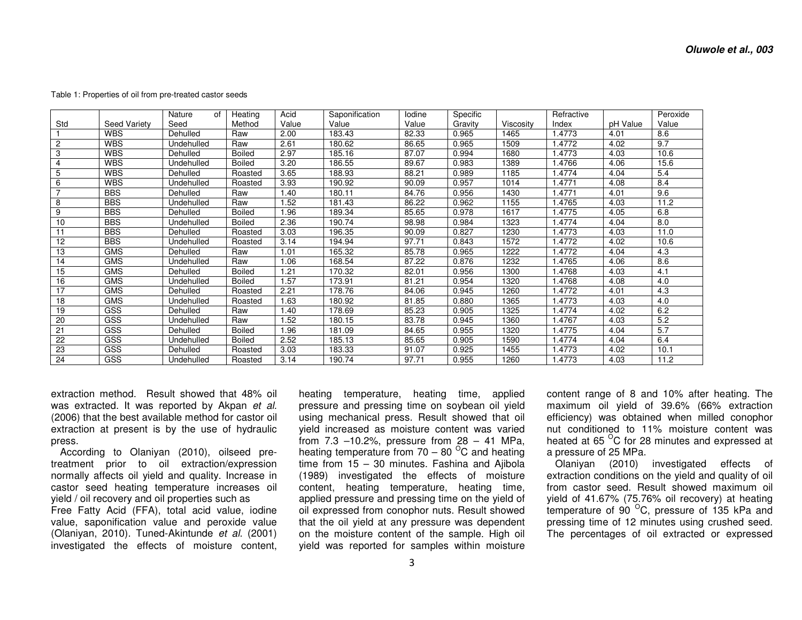|                 |              | Nature<br>οf | Heating       | Acid  | Saponification | lodine | Specific |           | Refractive |          | Peroxide |
|-----------------|--------------|--------------|---------------|-------|----------------|--------|----------|-----------|------------|----------|----------|
| Std             | Seed Variety | Seed         | Method        | Value | Value          | Value  | Gravity  | Viscosity | Index      | pH Value | Value    |
|                 | <b>WBS</b>   | Dehulled     | Raw           | 2.00  | 183.43         | 82.33  | 0.965    | 1465      | 1.4773     | 4.01     | 8.6      |
| 2               | <b>WBS</b>   | Undehulled   | Raw           | 2.61  | 180.62         | 86.65  | 0.965    | 1509      | 1.4772     | 4.02     | 9.7      |
| 3               | <b>WBS</b>   | Dehulled     | <b>Boiled</b> | 2.97  | 185.16         | 87.07  | 0.994    | 1680      | 1.4773     | 4.03     | 10.6     |
| 4               | <b>WBS</b>   | Undehulled   | <b>Boiled</b> | 3.20  | 186.55         | 89.67  | 0.983    | 1389      | 1.4766     | 4.06     | 15.6     |
| 5               | <b>WBS</b>   | Dehulled     | Roasted       | 3.65  | 188.93         | 88.21  | 0.989    | 1185      | 1.4774     | 4.04     | 5.4      |
| 6               | <b>WBS</b>   | Undehulled   | Roasted       | 3.93  | 190.92         | 90.09  | 0.957    | 1014      | 1.4771     | 4.08     | 8.4      |
|                 | <b>BBS</b>   | Dehulled     | Raw           | 1.40  | 180.11         | 84.76  | 0.956    | 1430      | 1.4771     | 4.01     | 9.6      |
| 8               | <b>BBS</b>   | Undehulled   | Raw           | 1.52  | 181.43         | 86.22  | 0.962    | 1155      | 1.4765     | 4.03     | 11.2     |
| 9               | <b>BBS</b>   | Dehulled     | <b>Boiled</b> | 1.96  | 189.34         | 85.65  | 0.978    | 1617      | 1.4775     | 4.05     | 6.8      |
| 10              | <b>BBS</b>   | Undehulled   | <b>Boiled</b> | 2.36  | 190.74         | 98.98  | 0.984    | 1323      | .4774      | 4.04     | 8.0      |
| 11              | <b>BBS</b>   | Dehulled     | Roasted       | 3.03  | 196.35         | 90.09  | 0.827    | 1230      | .4773      | 4.03     | 11.0     |
| 12              | <b>BBS</b>   | Undehulled   | Roasted       | 3.14  | 194.94         | 97.71  | 0.843    | 1572      | 1.4772     | 4.02     | 10.6     |
| 13              | <b>GMS</b>   | Dehulled     | Raw           | 1.01  | 165.32         | 85.78  | 0.965    | 1222      | 1.4772     | 4.04     | 4.3      |
| 14              | <b>GMS</b>   | Undehulled   | Raw           | 1.06  | 168.54         | 87.22  | 0.876    | 1232      | .4765      | 4.06     | 8.6      |
| 15              | <b>GMS</b>   | Dehulled     | <b>Boiled</b> | 1.21  | 170.32         | 82.01  | 0.956    | 1300      | 1.4768     | 4.03     | 4.1      |
| 16              | <b>GMS</b>   | Undehulled   | <b>Boiled</b> | 1.57  | 173.91         | 81.21  | 0.954    | 1320      | 1.4768     | 4.08     | 4.0      |
| 17              | <b>GMS</b>   | Dehulled     | Roasted       | 2.21  | 178.76         | 84.06  | 0.945    | 1260      | 1.4772     | 4.01     | 4.3      |
| 18              | <b>GMS</b>   | Undehulled   | Roasted       | 1.63  | 180.92         | 81.85  | 0.880    | 1365      | 1.4773     | 4.03     | 4.0      |
| 19              | GSS          | Dehulled     | Raw           | 1.40  | 178.69         | 85.23  | 0.905    | 1325      | .4774      | 4.02     | 6.2      |
| 20              | GSS          | Undehulled   | Raw           | 1.52  | 180.15         | 83.78  | 0.945    | 1360      | 1.4767     | 4.03     | 5.2      |
| 21              | GSS          | Dehulled     | <b>Boiled</b> | 96. ا | 181.09         | 84.65  | 0.955    | 1320      | .4775      | 4.04     | 5.7      |
| $\overline{22}$ | GSS          | Jndehulled   | <b>Boiled</b> | 2.52  | 185.13         | 85.65  | 0.905    | 1590      | 1.4774     | 4.04     | 6.4      |
| 23              | GSS          | Dehulled     | Roasted       | 3.03  | 183.33         | 91.07  | 0.925    | 1455      | 1.4773     | 4.02     | 10.1     |
| 24              | <b>GSS</b>   | Undehulled   | Roasted       | 3.14  | 190.74         | 97.71  | 0.955    | 1260      | 1.4773     | 4.03     | 11.2     |

Table 1: Properties of oil from pre-treated castor seeds

extraction method. Result showed that 48% oil was extracted. It was reported by Akpan *et al.* (2006) that the best available method for castor oil extraction at present is by the use of hydraulic press.

 According to Olaniyan (2010), oilseed pretreatment prior to oil extraction/expression normally affects oil yield and quality. Increase in castor seed heating temperature increases oil yield / oil recovery and oil properties such as Free Fatty Acid (FFA), total acid value, iodine value, saponification value and peroxide value (Olaniyan, 2010). Tuned-Akintunde *et al.* (2001) investigated the effects of moisture content, heating temperature, heating time, applied pressure and pressing time on soybean oil yield using mechanical press. Result showed that oil yield increased as moisture content was varied from 7.3 –10.2%, pressure from 28 – 41 MPa, heating temperature from 70 – 80  $^{\circ}$ C and heating time from 15 – 30 minutes. Fashina and Ajibola (1989) investigated the effects of moisture content, heating temperature, heating time, applied pressure and pressing time on the yield of oil expressed from conophor nuts. Result showed that the oil yield at any pressure was dependent on the moisture content of the sample. High oil yield was reported for samples within moisture content range of 8 and 10% after heating. The maximum oil yield of 39.6% (66% extraction efficiency) was obtained when milled conophor nut conditioned to 11% moisture content was heated at 65  $^{\circ}$ C for 28 minutes and expressed at a pressure of 25 MPa.

 Olaniyan (2010) investigated effects of extraction conditions on the yield and quality of oil from castor seed. Result showed maximum oil yield of 41.67% (75.76% oil recovery) at heating temperature of 90  $^{\circ}$ C, pressure of 135 kPa and pressing time of 12 minutes using crushed seed. The percentages of oil extracted or expressed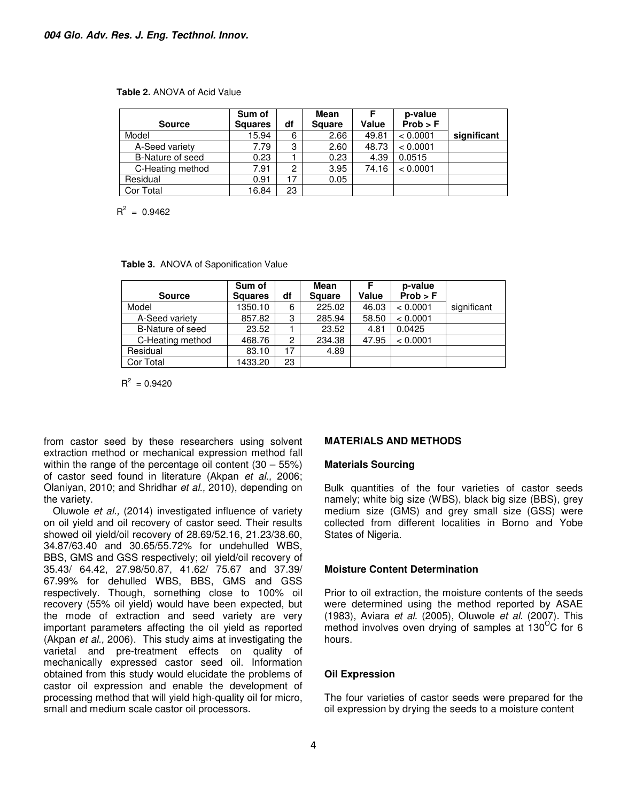#### **Table 2.** ANOVA of Acid Value

|                  | Sum of         |    | <b>Mean</b>   |       | p-value  |             |
|------------------|----------------|----|---------------|-------|----------|-------------|
| <b>Source</b>    | <b>Squares</b> | df | <b>Square</b> | Value | Prob > F |             |
| Model            | 15.94          | 6  | 2.66          | 49.81 | < 0.0001 | significant |
| A-Seed variety   | 7.79           | 3  | 2.60          | 48.73 | < 0.0001 |             |
| B-Nature of seed | 0.23           |    | 0.23          | 4.39  | 0.0515   |             |
| C-Heating method | 7.91           | 2  | 3.95          | 74.16 | < 0.0001 |             |
| Residual         | 0.91           | 17 | 0.05          |       |          |             |
| Cor Total        | 16.84          | 23 |               |       |          |             |

 $R^2 = 0.9462$ 

|  |  | Table 3. ANOVA of Saponification Value |  |
|--|--|----------------------------------------|--|
|--|--|----------------------------------------|--|

| <b>Source</b>    | Sum of<br><b>Squares</b> | df | <b>Mean</b><br><b>Square</b> | Value | p-value<br>Prob > F |             |
|------------------|--------------------------|----|------------------------------|-------|---------------------|-------------|
| Model            | 1350.10                  | 6  | 225.02                       |       | < 0.0001            |             |
|                  |                          |    |                              | 46.03 |                     | significant |
| A-Seed variety   | 857.82                   | 3  | 285.94                       | 58.50 | < 0.0001            |             |
| B-Nature of seed | 23.52                    |    | 23.52                        | 4.81  | 0.0425              |             |
| C-Heating method | 468.76                   | 2  | 234.38                       | 47.95 | < 0.0001            |             |
| Residual         | 83.10                    | 17 | 4.89                         |       |                     |             |
| Cor Total        | 1433.20                  | 23 |                              |       |                     |             |

 $R^2 = 0.9420$ 

from castor seed by these researchers using solvent extraction method or mechanical expression method fall within the range of the percentage oil content (30 – 55%) of castor seed found in literature (Akpan *et al.,* 2006; Olaniyan, 2010; and Shridhar *et al.,* 2010), depending on the variety.

Oluwole *et al.,* (2014) investigated influence of variety on oil yield and oil recovery of castor seed. Their results showed oil yield/oil recovery of 28.69/52.16, 21.23/38.60, 34.87/63.40 and 30.65/55.72% for undehulled WBS, BBS, GMS and GSS respectively; oil yield/oil recovery of 35.43/ 64.42, 27.98/50.87, 41.62/ 75.67 and 37.39/ 67.99% for dehulled WBS, BBS, GMS and GSS respectively. Though, something close to 100% oil recovery (55% oil yield) would have been expected, but the mode of extraction and seed variety are very important parameters affecting the oil yield as reported (Akpan *et al.,* 2006). This study aims at investigating the varietal and pre-treatment effects on quality of mechanically expressed castor seed oil. Information obtained from this study would elucidate the problems of castor oil expression and enable the development of processing method that will yield high-quality oil for micro, small and medium scale castor oil processors.

## **MATERIALS AND METHODS**

## **Materials Sourcing**

Bulk quantities of the four varieties of castor seeds namely; white big size (WBS), black big size (BBS), grey medium size (GMS) and grey small size (GSS) were collected from different localities in Borno and Yobe States of Nigeria.

## **Moisture Content Determination**

Prior to oil extraction, the moisture contents of the seeds were determined using the method reported by ASAE (1983), Aviara *et al.* (2005), Oluwole *et al.* (2007). This method involves oven drying of samples at  $130^{\circ}$ C for 6 hours.

## **Oil Expression**

The four varieties of castor seeds were prepared for the oil expression by drying the seeds to a moisture content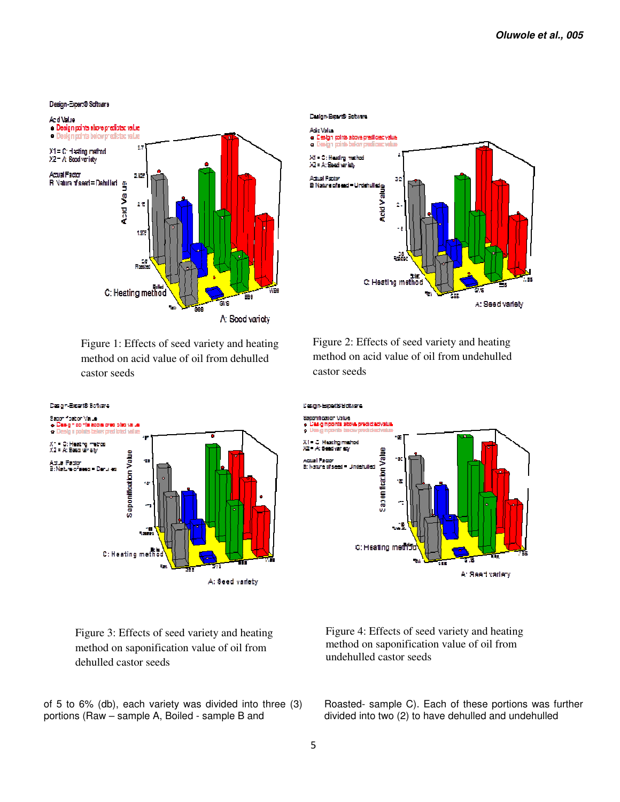#### Diesign-Expert@Schware



Figure 1: Effects of seed variety and heating method on acid value of oil from dehulled castor seeds



Figure 3: Effects of seed variety and heating method on saponification value of oil from dehulled castor seeds

of 5 to 6% (db), each variety was divided into three (3) portions (Raw – sample A, Boiled - sample B and



Figure 2: Effects of seed variety and heating method on acid value of oil from undehulled castor seeds



Figure 4: Effects of seed variety and heating method on saponification value of oil from undehulled castor seeds

Roasted- sample C). Each of these portions was further divided into two (2) to have dehulled and undehulled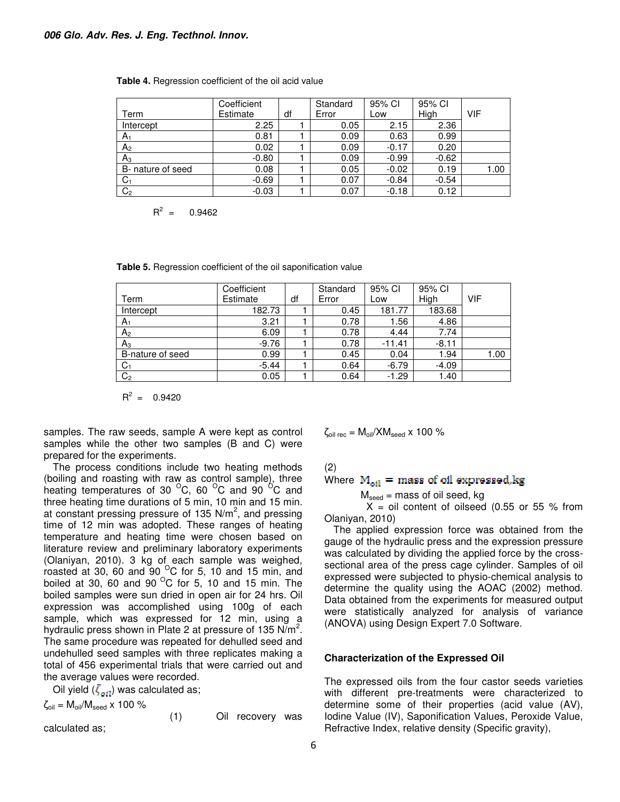| Term              | Coefficient<br>Estimate | df | Standard<br>Error | 95% CI<br>Low | 95% CI<br>High | VIF  |
|-------------------|-------------------------|----|-------------------|---------------|----------------|------|
| Intercept         | 2.25                    |    | 0.05              | 2.15          | 2.36           |      |
| $A_1$             | 0.81                    |    | 0.09              | 0.63          | 0.99           |      |
| A <sub>2</sub>    | 0.02                    |    | 0.09              | $-0.17$       | 0.20           |      |
| $A_3$             | $-0.80$                 |    | 0.09              | $-0.99$       | $-0.62$        |      |
| B- nature of seed | 0.08                    |    | 0.05              | $-0.02$       | 0.19           | 1.00 |
| C <sub>1</sub>    | $-0.69$                 |    | 0.07              | $-0.84$       | $-0.54$        |      |
| C <sub>2</sub>    | $-0.03$                 |    | 0.07              | $-0.18$       | 0.12           |      |

| Table 4. Regression coefficient of the oil acid value |  |  |  |  |
|-------------------------------------------------------|--|--|--|--|
|-------------------------------------------------------|--|--|--|--|

 $R^2 = 0.9462$ 

| Table 5. Regression coefficient of the oil saponification value |  |  |
|-----------------------------------------------------------------|--|--|
|                                                                 |  |  |

|                  | Coefficient |    | Standard | 95% CI   | 95% CI  |      |
|------------------|-------------|----|----------|----------|---------|------|
| Term             | Estimate    | df | Error    | Low      | High    | VIF  |
| Intercept        | 182.73      |    | 0.45     | 181.77   | 183.68  |      |
| A <sub>1</sub>   | 3.21        |    | 0.78     | 1.56     | 4.86    |      |
| A <sub>2</sub>   | 6.09        |    | 0.78     | 4.44     | 7.74    |      |
| $A_3$            | $-9.76$     |    | 0.78     | $-11.41$ | $-8.11$ |      |
| B-nature of seed | 0.99        |    | 0.45     | 0.04     | 1.94    | 1.00 |
| $C_1$            | $-5.44$     |    | 0.64     | $-6.79$  | $-4.09$ |      |
| C <sub>2</sub>   | 0.05        |    | 0.64     | $-1.29$  | 1.40    |      |

 $R^2 = 0.9420$ 

samples. The raw seeds, sample A were kept as control samples while the other two samples (B and C) were prepared for the experiments.

The process conditions include two heating methods (boiling and roasting with raw as control sample), three heating temperatures of 30  $^{\circ}$ C, 60  $^{\circ}$ C and 90  $^{\circ}$ C and three heating time durations of 5 min, 10 min and 15 min. at constant pressing pressure of 135 N/m<sup>2</sup>, and pressing time of 12 min was adopted. These ranges of heating temperature and heating time were chosen based on literature review and preliminary laboratory experiments (Olaniyan, 2010). 3 kg of each sample was weighed, roasted at 30, 60 and 90  $^{\circ}$ C for 5, 10 and 15 min, and boiled at 30, 60 and 90 $^{\circ}$ C for 5, 10 and 15 min. The boiled samples were sun dried in open air for 24 hrs. Oil expression was accomplished using 100g of each sample, which was expressed for 12 min, using a hydraulic press shown in Plate 2 at pressure of 135  $N/m^2$ . The same procedure was repeated for dehulled seed and undehulled seed samples with three replicates making a total of 456 experimental trials that were carried out and the average values were recorded.

Oil yield  $(\zeta_{\text{att}})$  was calculated as;

 $\zeta_{\text{oil}} = M_{\text{oil}}/M_{\text{seed}} \times 100 \%$ (1) Oil recovery was

calculated as;

 $\zeta_{\text{oil rec}} = M_{\text{oil}}/XM_{\text{seed}} \times 100 \%$ 

(2)

Where 
$$
M_{\text{oil}} =
$$
 mass of oil expressed, kg

 $M_{seed}$  = mass of oil seed, kg

 $X = oil$  content of oilseed (0.55 or 55 % from Olaniyan, 2010)

The applied expression force was obtained from the gauge of the hydraulic press and the expression pressure was calculated by dividing the applied force by the crosssectional area of the press cage cylinder. Samples of oil expressed were subjected to physio-chemical analysis to determine the quality using the AOAC (2002) method. Data obtained from the experiments for measured output were statistically analyzed for analysis of variance (ANOVA) using Design Expert 7.0 Software.

## **Characterization of the Expressed Oil**

The expressed oils from the four castor seeds varieties with different pre-treatments were characterized to determine some of their properties (acid value (AV), Iodine Value (IV), Saponification Values, Peroxide Value, Refractive Index, relative density (Specific gravity),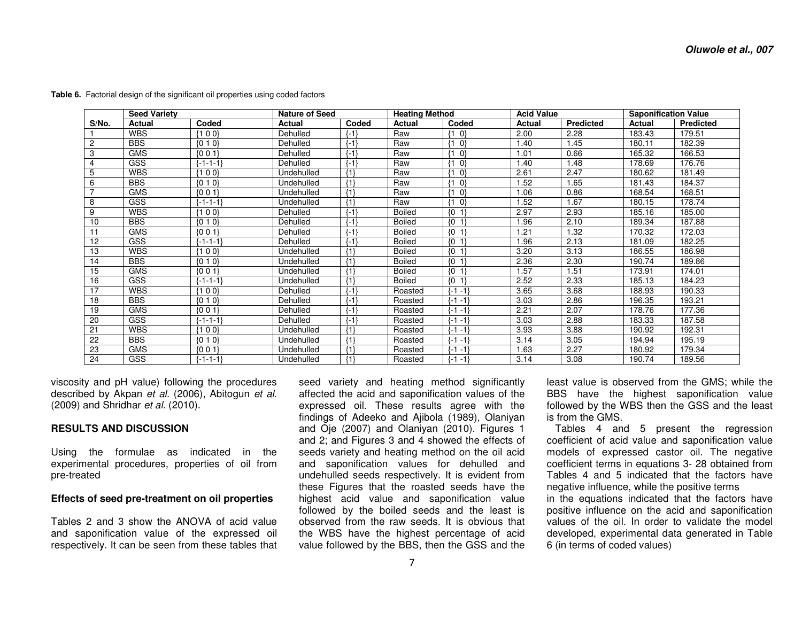|                | <b>Seed Variety</b> |                      | <b>Nature of Seed</b> |          | <b>Heating Method</b> |                      | <b>Acid Value</b> |                  |        | <b>Saponification Value</b> |
|----------------|---------------------|----------------------|-----------------------|----------|-----------------------|----------------------|-------------------|------------------|--------|-----------------------------|
| S/No.          | Actual              | Coded                | <b>Actual</b>         | Coded    | Actual                | Coded                | Actual            | <b>Predicted</b> | Actual | <b>Predicted</b>            |
|                | <b>WBS</b>          | {1 0 0}              | Dehulled              | $\{-1\}$ | Raw                   | -0}                  | 2.00              | 2.28             | 183.43 | 179.51                      |
| $\overline{c}$ | <b>BBS</b>          | ${010}$              | Dehulled              | ${-1}$   | Raw                   | -0}                  | 1.40              | 1.45             | 180.11 | 182.39                      |
| 3              | <b>GMS</b>          | (001)                | Dehulled              | $\{-1\}$ | Raw                   | $ 0\rangle$          | 1.01              | 0.66             | 165.32 | 166.53                      |
| $\overline{4}$ | <b>GSS</b>          | $-1 - 1 - 1$         | Dehulled              | $\{-1\}$ | Raw                   | $ 0\rangle$          | 1.40              | 1.48             | 178.69 | 176.76                      |
| 5              | <b>WBS</b>          | 00                   | Undehulled            | ${1}$    | Raw                   | $ 0\rangle$          | 2.61              | 2.47             | 180.62 | 181.49                      |
| 6              | <b>BBS</b>          | ${010}$              | Undehulled            | ${1}$    | Raw                   | $ 0\rangle$          | 1.52              | 1.65             | 181.43 | 184.37                      |
| $\overline{7}$ | <b>GMS</b>          | ${001}$              | Undehulled            | ${1}$    | Raw                   | $ 0\rangle$<br>11    | 1.06              | 0.86             | 168.54 | 168.51                      |
| 8              | <b>GSS</b>          | $-1 - 1 - 1$         | Undehulled            | ${1}$    | Raw                   | $ 0\rangle$          | 1.52              | 1.67             | 180.15 | 178.74                      |
| 9              | <b>WBS</b>          | {1 0 0}              | Dehulled              | $\{-1\}$ | <b>Boiled</b>         | $\{0\}$<br>1         | 2.97              | 2.93             | 185.16 | 185.00                      |
| 10             | <b>BBS</b>          | ${010}$              | <b>Dehulled</b>       | $\{-1\}$ | <b>Boiled</b>         | $\{0\}$<br>$\vert$ 1 | 1.96              | 2.10             | 189.34 | 187.88                      |
| 11             | <b>GMS</b>          | (001)                | Dehulled              | $\{-1\}$ | <b>Boiled</b>         | $\{0\}$<br>$\vert$ 1 | 1.21              | 1.32             | 170.32 | 172.03                      |
| 12             | <b>GSS</b>          | $-1 - 1 - 1$         | Dehulled              | $\{-1\}$ | <b>Boiled</b>         | ${0}$                | 1.96              | 2.13             | 181.09 | 182.25                      |
| 13             | <b>WBS</b>          | {1 0 0}              | Undehulled            | ${1}$    | <b>Boiled</b>         | $\{0\}$              | 3.20              | 3.13             | 186.55 | 186.98                      |
| 14             | <b>BBS</b>          | ${010}$              | Undehulled            | ${1}$    | <b>Boiled</b>         | $\{0\}$<br>$\vert$ 1 | 2.36              | 2.30             | 190.74 | 189.86                      |
| 15             | <b>GMS</b>          | ${001}$              | Undehulled            | ${1}$    | <b>Boiled</b>         | $\{0\}$<br>$\vert$ 1 | 1.57              | 1.51             | 173.91 | 174.01                      |
| 16             | <b>GSS</b>          | {-1-1-1}             | Undehulled            | ${1}$    | <b>Boiled</b>         | ${0, 1}$             | 2.52              | 2.33             | 185.13 | 184.23                      |
| 17             | <b>WBS</b>          | 100                  | Dehulled              | $\{-1\}$ | Roasted               | $\{-1 -1\}$          | 3.65              | 3.68             | 188.93 | 190.33                      |
| 18             | <b>BBS</b>          | ${010}$              | Dehulled              | $\{-1\}$ | Roasted               | $\{-1 -1\}$          | 3.03              | 2.86             | 196.35 | 193.21                      |
| 19             | <b>GMS</b>          | (001)                | Dehulled              | $\{-1\}$ | Roasted               | ${-1 -1}$            | 2.21              | 2.07             | 178.76 | 177.36                      |
| 20             | <b>GSS</b>          | l-1-1-1 <sup>-</sup> | Dehulled              | $\{-1\}$ | Roasted               | $(-1 - 1)$           | 3.03              | 2.88             | 183.33 | 187.58                      |
| 21             | <b>WBS</b>          | 00                   | Undehulled            | ${1}$    | Roasted               | ${-1 -1}$            | 3.93              | 3.88             | 190.92 | 192.31                      |
| 22             | <b>BBS</b>          | ${010}$              | Undehulled            | ${1}$    | Roasted               | $\{-1 -1\}$          | 3.14              | 3.05             | 194.94 | 195.19                      |
| 23             | <b>GMS</b>          | ${001}$              | Undehulled            | ${1}$    | Roasted               | $(-1 - 1)$           | 1.63              | 2.27             | 180.92 | 179.34                      |
| 24             | <b>GSS</b>          | $-1 - 1 - 1$         | Undehulled            | ${1}$    | Roasted               | ${-1 -1}$            | 3.14              | 3.08             | 190.74 | 189.56                      |

**Table 6.** Factorial design of the significant oil properties using coded factors

viscosity and pH value) following the procedures described by Akpan *et al.* (2006), Abitogun *et al.*(2009) and Shridhar *et al.* (2010).

## **RESULTS AND DISCUSSION**

Using the formulae as indicated in the experimental procedures, properties of oil from pre-treated

## **Effects of seed pre-treatment on oil properties**

Tables 2 and 3 show the ANOVA of acid value and saponification value of the expressed oil respectively. It can be seen from these tables that

seed variety and heating method significantly affected the acid and saponification values of the expressed oil. These results agree with the findings of Adeeko and Ajibola (1989), Olaniyan and Oje (2007) and Olaniyan (2010). Figures 1 and 2; and Figures 3 and 4 showed the effects of seeds variety and heating method on the oil acid and saponification values for dehulled and undehulled seeds respectively. It is evident from these Figures that the roasted seeds have the highest acid value and saponification value followed by the boiled seeds and the least is observed from the raw seeds. It is obvious that the WBS have the highest percentage of acid value followed by the BBS, then the GSS and the

least value is observed from the GMS; while the BBS have the highest saponification value followed by the WBS then the GSS and the least is from the GMS.

 Tables 4 and 5 present the regression coefficient of acid value and saponification value models of expressed castor oil. The negative coefficient terms in equations 3- 28 obtained from Tables 4 and 5 indicated that the factors have negative influence, while the positive terms

 in the equations indicated that the factors have positive influence on the acid and saponification values of the oil. In order to validate the model developed, experimental data generated in Table 6 (in terms of coded values)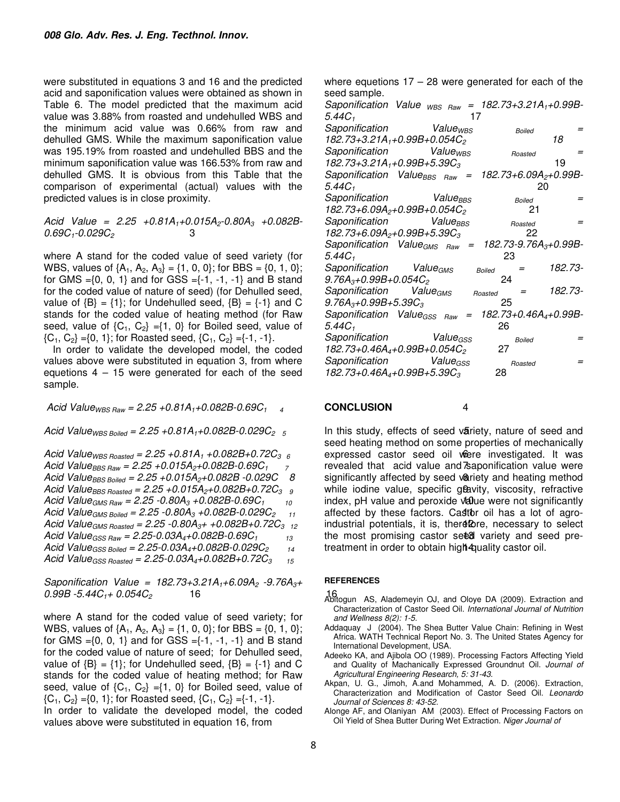were substituted in equations 3 and 16 and the predicted acid and saponification values were obtained as shown in Table 6. The model predicted that the maximum acid value was 3.88% from roasted and undehulled WBS and the minimum acid value was 0.66% from raw and dehulled GMS. While the maximum saponification value was 195.19% from roasted and undehulled BBS and the minimum saponification value was 166.53% from raw and dehulled GMS. It is obvious from this Table that the comparison of experimental (actual) values with the predicted values is in close proximity.

*Acid Value = 2.25 +0.81A1+0.015A2-0.80A3 +0.082B-0.69C1-0.029C2* 3

where A stand for the coded value of seed variety (for WBS, values of  $\{A_1, A_2, A_3\} = \{1, 0, 0\}$ ; for BBS =  $\{0, 1, 0\}$ ; for GMS = $\{0, 0, 1\}$  and for GSS = $\{-1, -1, -1\}$  and B stand for the coded value of nature of seed) (for Dehulled seed, value of  ${B} = {1}$ ; for Undehulled seed,  ${B} = {-1}$  and C stands for the coded value of heating method (for Raw seed, value of  ${C_1, C_2} = {1, 0}$  for Boiled seed, value of  ${C_1, C_2} = {0, 1}$ ; for Roasted seed,  ${C_1, C_2} = {-1, -1}.$ 

In order to validate the developed model, the coded values above were substituted in equation 3, from where equetions  $4 - 15$  were generated for each of the seed sample.

 *Acid ValueWBS Raw = 2.25 +0.81A1+0.082B-0.69C1 4* 4

*Acid ValueWBS Boiled = 2.25 +0.81A1+0.082B-0.029C2 5 5*

*Acid ValueWBS Roasted = 2.25 +0.81A1 +0.082B+0.72C3 6* 6 *Acid ValueBBS Raw = 2.25 +0.015A2+0.082B-0.69C1 7* 7 *Acid ValueBBS Boiled = 2.25 +0.015A2+0.082B -0.029C 8* 8 *Acid ValueBBS Roasted = 2.25 +0.015A2+0.082B+0.72C3 9* 9 *Acid ValueGMS Raw = 2.25 -0.80A3 +0.082B-0.69C1 10* 10 *Acid ValueGMS Boiled = 2.25 -0.80A3 +0.082B-0.029C2 11* 11 *Acid ValueGMS Roasted = 2.25 -0.80A3+ +0.082B+0.72C3 12* 12 *Acid ValueGSS Raw = 2.25-0.03A4+0.082B-0.69C1 13* 13 *Acid ValueGSS Boiled = 2.25-0.03A4+0.082B-0.029C2 14* 14 *Acid ValueGSS Roasted = 2.25-0.03A4+0.082B+0.72C3 15*

*Saponification Value = 182.73+3.21A1+6.09A2 -9.76A3+ 0.99B -5.44C1+ 0.054C2* 16 16

where A stand for the coded value of seed variety; for WBS, values of  $\{A_1, A_2, A_3\} = \{1, 0, 0\}$ ; for BBS =  $\{0, 1, 0\}$ ; for GMS = $\{0, 0, 1\}$  and for GSS = $\{-1, -1, -1\}$  and B stand for the coded value of nature of seed; for Dehulled seed, value of  ${B} = {1}$ ; for Undehulled seed,  ${B} = {-1}$  and C stands for the coded value of heating method; for Raw seed, value of  ${C_1, C_2} = {1, 0}$  for Boiled seed, value of  ${C_1, C_2} = {0, 1}$ ; for Roasted seed,  ${C_1, C_2} = {-1, -1}.$ 

In order to validate the developed model, the coded values above were substituted in equation 16, from

where equetions  $17 - 28$  were generated for each of the seed sample.

| Saponification Value <sub>WBS Raw</sub>              | $= 182.73 + 3.21A_1 + 0.99B$      |
|------------------------------------------------------|-----------------------------------|
| $5.44C_1$<br>17                                      |                                   |
| Saponification<br>Value <sub>WBS</sub>               | <b>Boiled</b>                     |
| 182.73+3.21A <sub>1</sub> +0.99B+0.054C <sub>2</sub> | 18                                |
| Saponification Value <sub>wes</sub>                  | Roasted                           |
| $182.73 + 3.21A_1 + 0.99B_2 + 5.39C_3$               | 19                                |
| Saponification ValueBBS Raw<br>$=$                   | 182.73+6.09A <sub>2</sub> +0.99B- |
| 5.44C <sub>1</sub>                                   | 20                                |
| Value <sub>BBS</sub><br>Saponification               | =<br><b>Boiled</b>                |
| 182.73+6.09A <sub>2</sub> +0.99B+0.054C <sub>2</sub> | 21                                |
| Value <sub>BBS</sub><br>Saponification               | Roasted                           |
| $182.73 + 6.09A_{2} + 0.99B_{+}5.39C_{3}$            | 22                                |
| Saponification Value <sub>GMS Raw</sub><br>$=$       | 182.73-9.76A <sub>3</sub> +0.99B- |
| 5.44C+                                               | 23                                |
| Saponification Value <sub>GMS</sub>                  | 182.73-<br><b>Boiled</b>          |
| $9.76A_3 + 0.99B + 0.054C_2$                         | 24                                |
| Saponification Value <sub>GMS</sub>                  | 182.73-<br>Roasted                |
| $9.76A_3 + 0.99B_2 + 5.39C_3$                        | 25                                |
| Saponification Value <sub>GSS</sub><br>Raw           | 182.73+0.46A <sub>4</sub> +0.99B- |
| 5.44C <sub>1</sub>                                   | 26                                |
| Saponification<br>Value <sub>GSS</sub>               | <b>Boiled</b>                     |
| 182.73+0.46A <sub>4</sub> +0.99B+0.054C <sub>2</sub> | 27                                |
| Saponification<br>Value <sub>GSS</sub>               | =<br>Roasted                      |
| 182.73+0.46A <sub>4</sub> +0.99B+5.39C <sub>3</sub>  | 28                                |
|                                                      |                                   |

## **CONCLUSION**

In this study, effects of seed variety, nature of seed and seed heating method on some properties of mechanically expressed castor seed oil veere investigated. It was revealed that acid value and saponification value were significantly affected by seed variety and heating method while iodine value, specific glavity, viscosity, refractive index, pH value and peroxide value were not significantly affected by these factors. Castor oil has a lot of agroindustrial potentials, it is, there fore, necessary to select the most promising castor seed variety and seed pretreatment in order to obtain high 4 puality castor oil.

## **REFERENCES**

- Abitogun AS, Alademeyin OJ, and Oloye DA (2009). Extraction and Characterization of Castor Seed Oil. *International Journal of Nutrition and Wellness 8(2): 1-5.*
- Addaquay J (2004). The Shea Butter Value Chain: Refining in West Africa. WATH Technical Report No. 3. The United States Agency for International Development, USA.
- Adeeko KA, and Ajibola OO (1989). Processing Factors Affecting Yield and Quality of Machanically Expressed Groundnut Oil. *Journal of Agricultural Engineering Research, 5: 31-43.*
- Akpan, U. G., Jimoh, A.and Mohammed, A. D. (2006). Extraction, Characterization and Modification of Castor Seed Oil. *Leonardo Journal of Sciences 8: 43-52.*
- Alonge AF, and Olaniyan AM (2003). Effect of Processing Factors on Oil Yield of Shea Butter During Wet Extraction. *Niger Journal of*